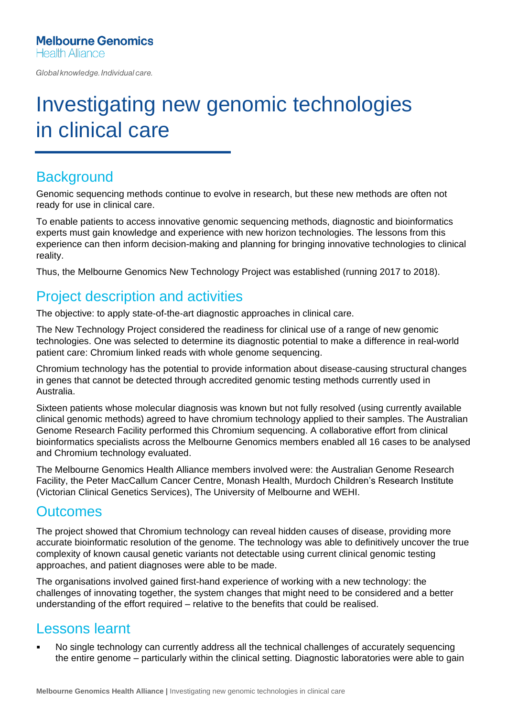Global knowledge. Individual care.

# Investigating new genomic technologies in clinical care

#### **Background**

Genomic sequencing methods continue to evolve in research, but these new methods are often not ready for use in clinical care.

To enable patients to access innovative genomic sequencing methods, diagnostic and bioinformatics experts must gain knowledge and experience with new horizon technologies. The lessons from this experience can then inform decision-making and planning for bringing innovative technologies to clinical reality.

Thus, the Melbourne Genomics New Technology Project was established (running 2017 to 2018).

### Project description and activities

The objective: to apply state-of-the-art diagnostic approaches in clinical care.

The New Technology Project considered the readiness for clinical use of a range of new genomic technologies. One was selected to determine its diagnostic potential to make a difference in real-world patient care: Chromium linked reads with whole genome sequencing.

Chromium technology has the potential to provide information about disease-causing structural changes in genes that cannot be detected through accredited genomic testing methods currently used in Australia.

Sixteen patients whose molecular diagnosis was known but not fully resolved (using currently available clinical genomic methods) agreed to have chromium technology applied to their samples. The Australian Genome Research Facility performed this Chromium sequencing. A collaborative effort from clinical bioinformatics specialists across the Melbourne Genomics members enabled all 16 cases to be analysed and Chromium technology evaluated.

The Melbourne Genomics Health Alliance members involved were: the Australian Genome Research Facility, the Peter MacCallum Cancer Centre, Monash Health, Murdoch Children's Research Institute (Victorian Clinical Genetics Services), The University of Melbourne and WEHI.

#### **Outcomes**

The project showed that Chromium technology can reveal hidden causes of disease, providing more accurate bioinformatic resolution of the genome. The technology was able to definitively uncover the true complexity of known causal genetic variants not detectable using current clinical genomic testing approaches, and patient diagnoses were able to be made.

The organisations involved gained first-hand experience of working with a new technology: the challenges of innovating together, the system changes that might need to be considered and a better understanding of the effort required – relative to the benefits that could be realised.

#### Lessons learnt

No single technology can currently address all the technical challenges of accurately sequencing the entire genome – particularly within the clinical setting. Diagnostic laboratories were able to gain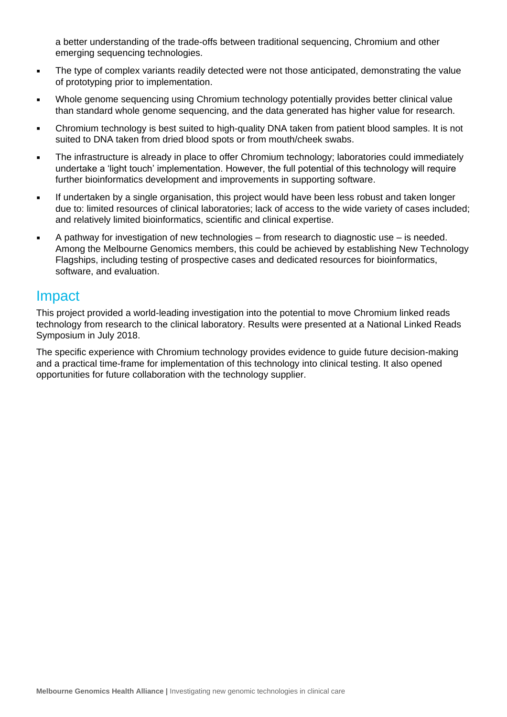a better understanding of the trade-offs between traditional sequencing, Chromium and other emerging sequencing technologies.

- The type of complex variants readily detected were not those anticipated, demonstrating the value of prototyping prior to implementation.
- Whole genome sequencing using Chromium technology potentially provides better clinical value than standard whole genome sequencing, and the data generated has higher value for research.
- Chromium technology is best suited to high-quality DNA taken from patient blood samples. It is not suited to DNA taken from dried blood spots or from mouth/cheek swabs.
- The infrastructure is already in place to offer Chromium technology; laboratories could immediately undertake a 'light touch' implementation. However, the full potential of this technology will require further bioinformatics development and improvements in supporting software.
- **EXEDENT If undertaken by a single organisation, this project would have been less robust and taken longer** due to: limited resources of clinical laboratories; lack of access to the wide variety of cases included; and relatively limited bioinformatics, scientific and clinical expertise.
- A pathway for investigation of new technologies from research to diagnostic use is needed. Among the Melbourne Genomics members, this could be achieved by establishing New Technology Flagships, including testing of prospective cases and dedicated resources for bioinformatics, software, and evaluation.

#### Impact

This project provided a world-leading investigation into the potential to move Chromium linked reads technology from research to the clinical laboratory. Results were presented at a National Linked Reads Symposium in July 2018.

The specific experience with Chromium technology provides evidence to guide future decision-making and a practical time-frame for implementation of this technology into clinical testing. It also opened opportunities for future collaboration with the technology supplier.